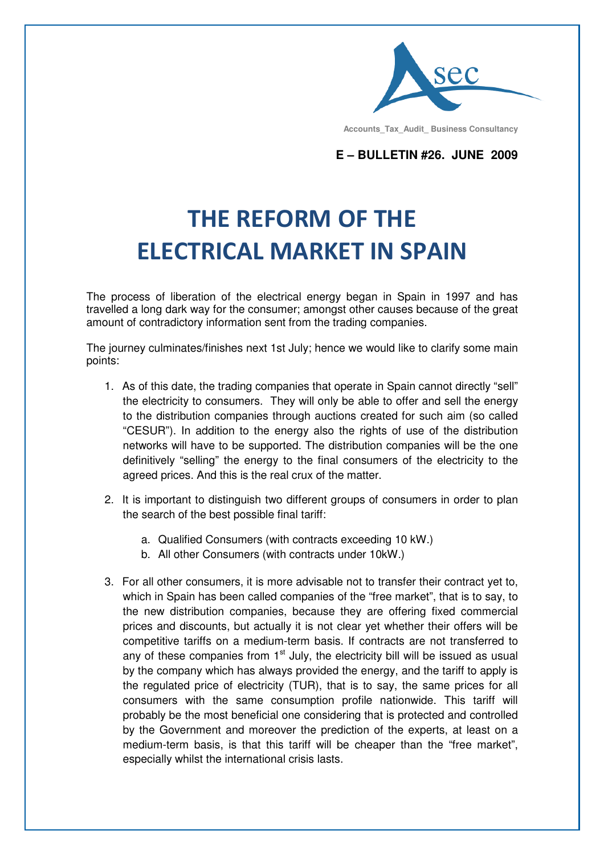

 **Accounts\_Tax\_Audit\_ Business Consultancy**

**E – BULLETIN #26. JUNE 2009**

## THE REFORM OF THE ELECTRICAL MARKET IN SPAIN

The process of liberation of the electrical energy began in Spain in 1997 and has travelled a long dark way for the consumer; amongst other causes because of the great amount of contradictory information sent from the trading companies.

The journey culminates/finishes next 1st July; hence we would like to clarify some main points:

- 1. As of this date, the trading companies that operate in Spain cannot directly "sell" the electricity to consumers. They will only be able to offer and sell the energy to the distribution companies through auctions created for such aim (so called "CESUR"). In addition to the energy also the rights of use of the distribution networks will have to be supported. The distribution companies will be the one definitively "selling" the energy to the final consumers of the electricity to the agreed prices. And this is the real crux of the matter.
- 2. It is important to distinguish two different groups of consumers in order to plan the search of the best possible final tariff:
	- a. Qualified Consumers (with contracts exceeding 10 kW.)
	- b. All other Consumers (with contracts under 10kW.)
- 3. For all other consumers, it is more advisable not to transfer their contract yet to, which in Spain has been called companies of the "free market", that is to say, to the new distribution companies, because they are offering fixed commercial prices and discounts, but actually it is not clear yet whether their offers will be competitive tariffs on a medium-term basis. If contracts are not transferred to any of these companies from  $1<sup>st</sup>$  July, the electricity bill will be issued as usual by the company which has always provided the energy, and the tariff to apply is the regulated price of electricity (TUR), that is to say, the same prices for all consumers with the same consumption profile nationwide. This tariff will probably be the most beneficial one considering that is protected and controlled by the Government and moreover the prediction of the experts, at least on a medium-term basis, is that this tariff will be cheaper than the "free market", especially whilst the international crisis lasts.